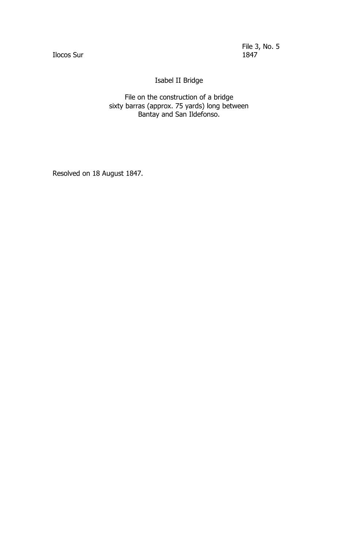Ilocos Sur

File 3, No. 5

Isabel II Bridge

File on the construction of a bridge sixty barras (approx. 75 yards) long between Bantay and San Ildefonso.

Resolved on 18 August 1847.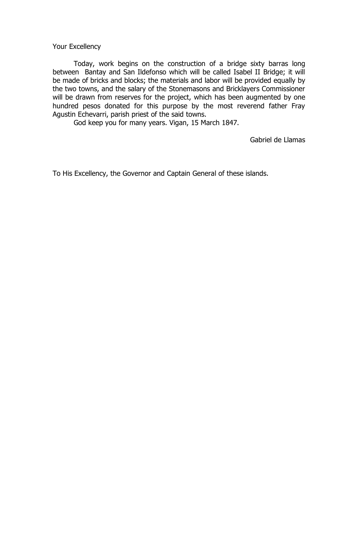Your Excellency

Today, work begins on the construction of a bridge sixty barras long between Bantay and San Ildefonso which will be called Isabel II Bridge; it will be made of bricks and blocks; the materials and labor will be provided equally by the two towns, and the salary of the Stonemasons and Bricklayers Commissioner will be drawn from reserves for the project, which has been augmented by one hundred pesos donated for this purpose by the most reverend father Fray Agustin Echevarri, parish priest of the said towns.

God keep you for many years. Vigan, 15 March 1847.

Gabriel de Llamas

To His Excellency, the Governor and Captain General of these islands.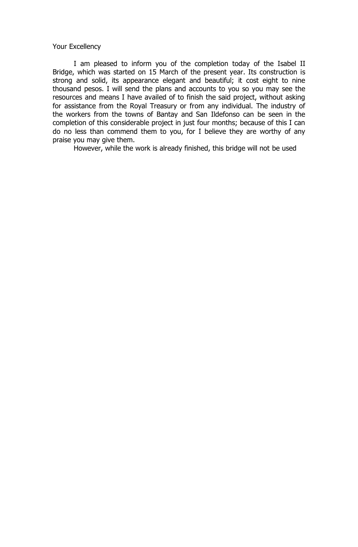### Your Excellency

I am pleased to inform you of the completion today of the Isabel II Bridge, which was started on 15 March of the present year. Its construction is strong and solid, its appearance elegant and beautiful; it cost eight to nine thousand pesos. I will send the plans and accounts to you so you may see the resources and means I have availed of to finish the said project, without asking for assistance from the Royal Treasury or from any individual. The industry of the workers from the towns of Bantay and San Ildefonso can be seen in the completion of this considerable project in just four months; because of this I can do no less than commend them to you, for I believe they are worthy of any praise you may give them.

However, while the work is already finished, this bridge will not be used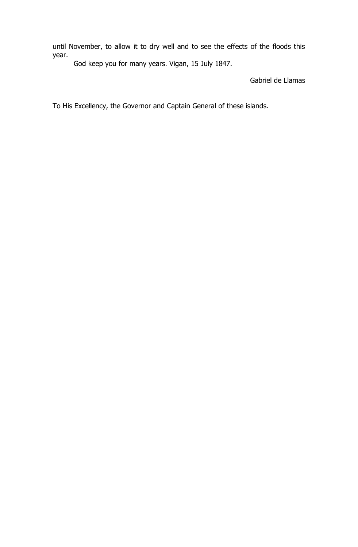until November, to allow it to dry well and to see the effects of the floods this year.

God keep you for many years. Vigan, 15 July 1847.

Gabriel de Llamas

To His Excellency, the Governor and Captain General of these islands.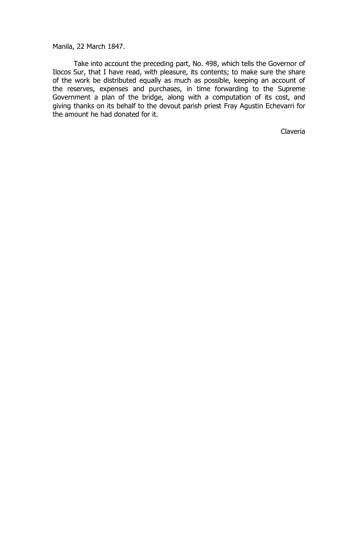Manila, 22 March 1847.

Take into account the preceding part, No. 498, which tells the Governor of Ilocos Sur, that I have read, with pleasure, its contents; to make sure the share of the work be distributed equally as much as possible, keeping an account of the reserves, expenses and purchases, in time forwarding to the Supreme Government a plan of the bridge, along with a computation of its cost, and giving thanks on its behalf to the devout parish priest Fray Agustin Echevarri for the amount he had donated for it.

Claveria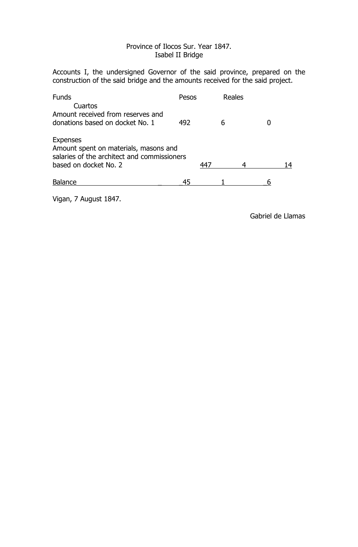# Province of Ilocos Sur. Year 1847. Isabel II Bridge

Accounts I, the undersigned Governor of the said province, prepared on the construction of the said bridge and the amounts received for the said project.

| <b>Funds</b><br>Cuartos                                                                                                   | Pesos |      | Reales |  |    |
|---------------------------------------------------------------------------------------------------------------------------|-------|------|--------|--|----|
| Amount received from reserves and<br>donations based on docket No. 1                                                      | 492   |      |        |  |    |
| Expenses<br>Amount spent on materials, masons and<br>salaries of the architect and commissioners<br>based on docket No. 2 |       | 44 7 |        |  | 14 |
| <b>Balance</b>                                                                                                            | 45    |      |        |  |    |

Vigan, 7 August 1847.

Gabriel de Llamas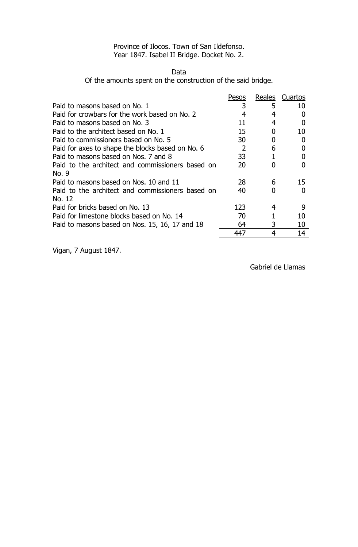# Province of Ilocos. Town of San Ildefonso. Year 1847. Isabel II Bridge. Docket No. 2.

#### Data

Of the amounts spent on the construction of the said bridge.

| Pesos          | Reales | Cuartos |
|----------------|--------|---------|
|                | 5      | 10      |
|                |        |         |
| 11             | 4      |         |
| 15             |        | 10      |
| 30             |        |         |
| $\overline{2}$ | 6      |         |
| 33             |        |         |
| 20             |        |         |
|                |        |         |
| 28             | 6      | 15      |
| 40             |        |         |
|                |        |         |
| 123            | 4      | q       |
| 70             |        | 10      |
| 64             | 3      | 10      |
| 447            | 4      | 14      |
|                |        |         |

Vigan, 7 August 1847.

Gabriel de Llamas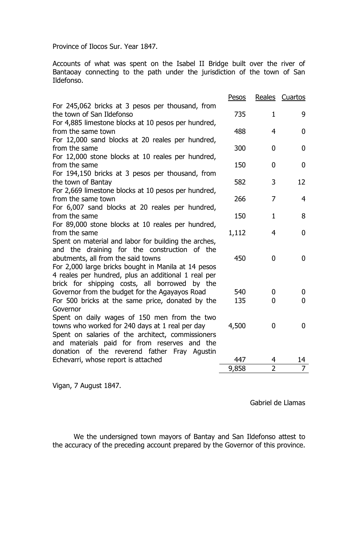Province of Ilocos Sur. Year 1847.

Accounts of what was spent on the Isabel II Bridge built over the river of Bantaoay connecting to the path under the jurisdiction of the town of San Ildefonso.

|                                                                                                                                                                                                                                                   | Pesos |                | Reales Cuartos |
|---------------------------------------------------------------------------------------------------------------------------------------------------------------------------------------------------------------------------------------------------|-------|----------------|----------------|
| For 245,062 bricks at 3 pesos per thousand, from<br>the town of San Ildefonso                                                                                                                                                                     | 735   | $\mathbf{1}$   | 9              |
| For 4,885 limestone blocks at 10 pesos per hundred,<br>from the same town                                                                                                                                                                         | 488   | 4              | $\bf{0}$       |
| For 12,000 sand blocks at 20 reales per hundred,<br>from the same                                                                                                                                                                                 | 300   | $\mathbf 0$    | $\mathbf{0}$   |
| For 12,000 stone blocks at 10 reales per hundred,<br>from the same                                                                                                                                                                                | 150   | $\mathbf{0}$   | $\bf{0}$       |
| For 194,150 bricks at 3 pesos per thousand, from<br>the town of Bantay                                                                                                                                                                            | 582   | 3              | 12             |
| For 2,669 limestone blocks at 10 pesos per hundred,                                                                                                                                                                                               |       |                |                |
| from the same town<br>For 6,007 sand blocks at 20 reales per hundred,                                                                                                                                                                             | 266   | 7              | $\overline{4}$ |
| from the same<br>For 89,000 stone blocks at 10 reales per hundred,                                                                                                                                                                                | 150   | $\mathbf{1}$   | 8              |
| from the same<br>Spent on material and labor for building the arches,                                                                                                                                                                             | 1,112 | 4              | $\mathbf{0}$   |
| and the draining for the construction of the<br>abutments, all from the said towns<br>For 2,000 large bricks bought in Manila at 14 pesos<br>4 reales per hundred, plus an additional 1 real per<br>brick for shipping costs, all borrowed by the | 450   | $\overline{0}$ | $\bf{0}$       |
| Governor from the budget for the Agayayos Road                                                                                                                                                                                                    | 540   | 0              | $\bf{0}$       |
| For 500 bricks at the same price, donated by the                                                                                                                                                                                                  | 135   | $\mathbf 0$    | $\bf{0}$       |
| Governor<br>Spent on daily wages of 150 men from the two<br>towns who worked for 240 days at 1 real per day<br>Spent on salaries of the architect, commissioners<br>and materials paid for from reserves and the                                  | 4,500 | $\mathbf{0}$   | $\mathbf{0}$   |
| donation of the reverend father Fray Agustin                                                                                                                                                                                                      |       |                |                |
| Echevarri, whose report is attached                                                                                                                                                                                                               | 447   | 4              | 14             |
|                                                                                                                                                                                                                                                   | 9,858 | $\overline{2}$ | 7              |

Vigan, 7 August 1847.

Gabriel de Llamas

We the undersigned town mayors of Bantay and San Ildefonso attest to the accuracy of the preceding account prepared by the Governor of this province.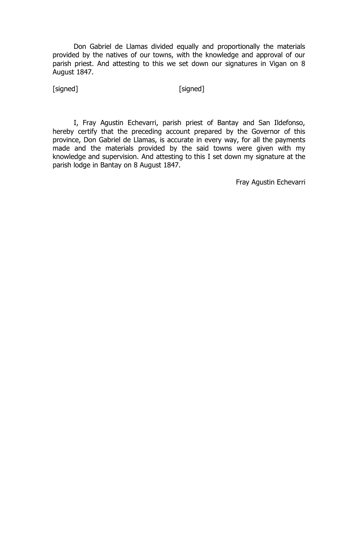Don Gabriel de Llamas divided equally and proportionally the materials provided by the natives of our towns, with the knowledge and approval of our parish priest. And attesting to this we set down our signatures in Vigan on 8 August 1847.

[signed] [signed]

I, Fray Agustin Echevarri, parish priest of Bantay and San Ildefonso, hereby certify that the preceding account prepared by the Governor of this province, Don Gabriel de Llamas, is accurate in every way, for all the payments made and the materials provided by the said towns were given with my knowledge and supervision. And attesting to this I set down my signature at the parish lodge in Bantay on 8 August 1847.

Fray Agustin Echevarri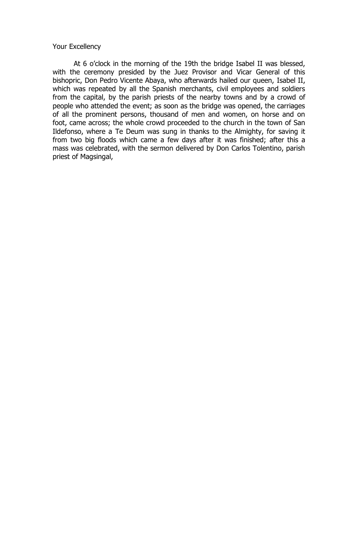#### Your Excellency

At 6 o'clock in the morning of the 19th the bridge Isabel II was blessed, with the ceremony presided by the Juez Provisor and Vicar General of this bishopric, Don Pedro Vicente Abaya, who afterwards hailed our queen, Isabel II, which was repeated by all the Spanish merchants, civil employees and soldiers from the capital, by the parish priests of the nearby towns and by a crowd of people who attended the event; as soon as the bridge was opened, the carriages of all the prominent persons, thousand of men and women, on horse and on foot, came across; the whole crowd proceeded to the church in the town of San Ildefonso, where a Te Deum was sung in thanks to the Almighty, for saving it from two big floods which came a few days after it was finished; after this a mass was celebrated, with the sermon delivered by Don Carlos Tolentino, parish priest of Magsingal,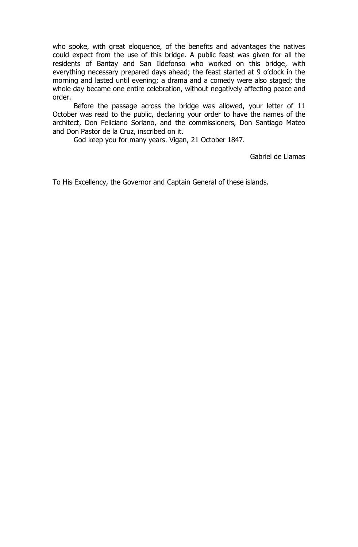who spoke, with great eloquence, of the benefits and advantages the natives could expect from the use of this bridge. A public feast was given for all the residents of Bantay and San Ildefonso who worked on this bridge, with everything necessary prepared days ahead; the feast started at 9 o'clock in the morning and lasted until evening; a drama and a comedy were also staged; the whole day became one entire celebration, without negatively affecting peace and order.

Before the passage across the bridge was allowed, your letter of 11 October was read to the public, declaring your order to have the names of the architect, Don Feliciano Soriano, and the commissioners, Don Santiago Mateo and Don Pastor de la Cruz, inscribed on it.

God keep you for many years. Vigan, 21 October 1847.

Gabriel de Llamas

To His Excellency, the Governor and Captain General of these islands.